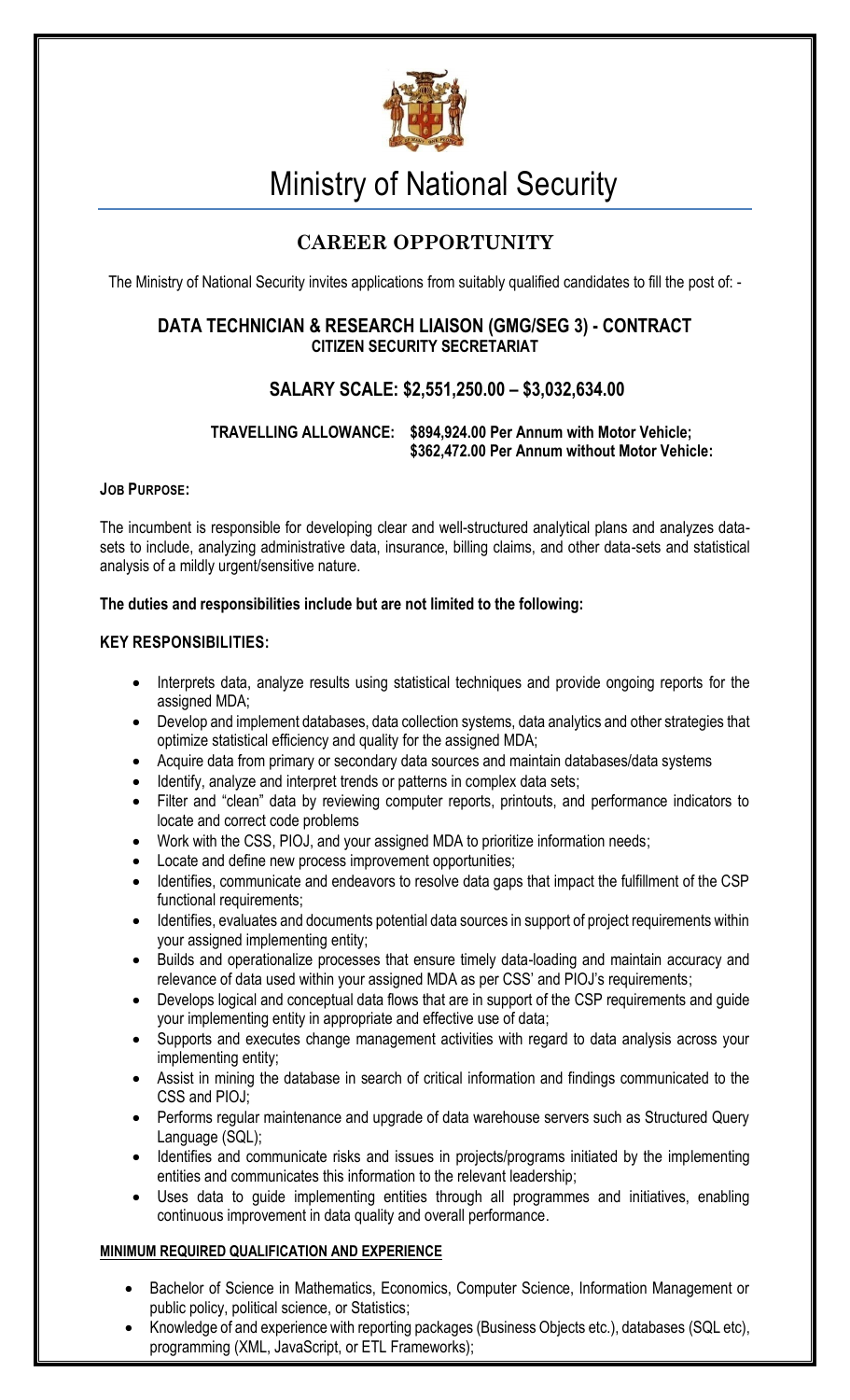

# Ministry of National Security

# **CAREER OPPORTUNITY**

The Ministry of National Security invites applications from suitably qualified candidates to fill the post of: -

## **DATA TECHNICIAN & RESEARCH LIAISON (GMG/SEG 3) - CONTRACT CITIZEN SECURITY SECRETARIAT**

## **SALARY SCALE: \$2,551,250.00 – \$3,032,634.00**

### **TRAVELLING ALLOWANCE: \$894,924.00 Per Annum with Motor Vehicle; \$362,472.00 Per Annum without Motor Vehicle:**

#### **JOB PURPOSE:**

The incumbent is responsible for developing clear and well-structured analytical plans and analyzes datasets to include, analyzing administrative data, insurance, billing claims, and other data-sets and statistical analysis of a mildly urgent/sensitive nature.

#### **The duties and responsibilities include but are not limited to the following:**

#### **KEY RESPONSIBILITIES:**

- Interprets data, analyze results using statistical techniques and provide ongoing reports for the assigned MDA;
- Develop and implement databases, data collection systems, data analytics and other strategies that optimize statistical efficiency and quality for the assigned MDA;
- Acquire data from primary or secondary data sources and maintain databases/data systems
- Identify, analyze and interpret trends or patterns in complex data sets;
- Filter and "clean" data by reviewing computer reports, printouts, and performance indicators to locate and correct code problems
- Work with the CSS, PIOJ, and your assigned MDA to prioritize information needs;
- Locate and define new process improvement opportunities;
- Identifies, communicate and endeavors to resolve data gaps that impact the fulfillment of the CSP functional requirements;
- Identifies, evaluates and documents potential data sources in support of project requirements within your assigned implementing entity;
- Builds and operationalize processes that ensure timely data-loading and maintain accuracy and relevance of data used within your assigned MDA as per CSS' and PIOJ's requirements;
- Develops logical and conceptual data flows that are in support of the CSP requirements and guide your implementing entity in appropriate and effective use of data;
- Supports and executes change management activities with regard to data analysis across your implementing entity;
- Assist in mining the database in search of critical information and findings communicated to the CSS and PIOJ;
- Performs regular maintenance and upgrade of data warehouse servers such as Structured Query Language (SQL);
- Identifies and communicate risks and issues in projects/programs initiated by the implementing entities and communicates this information to the relevant leadership;
- Uses data to guide implementing entities through all programmes and initiatives, enabling continuous improvement in data quality and overall performance.

#### **MINIMUM REQUIRED QUALIFICATION AND EXPERIENCE**

- Bachelor of Science in Mathematics, Economics, Computer Science, Information Management or public policy, political science, or Statistics;
- Knowledge of and experience with reporting packages (Business Objects etc.), databases (SQL etc), programming (XML, JavaScript, or ETL Frameworks);